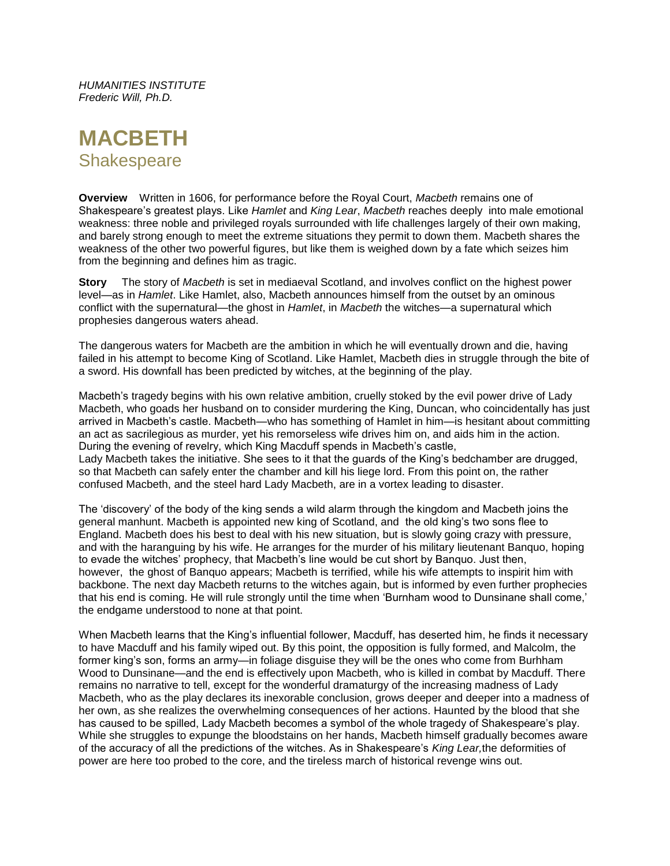*HUMANITIES INSTITUTE Frederic Will, Ph.D.*

# **MACBETH Shakespeare**

**Overview** Written in 1606, for performance before the Royal Court, *Macbeth* remains one of Shakespeare's greatest plays. Like *Hamlet* and *King Lear*, *Macbeth* reaches deeply into male emotional weakness: three noble and privileged royals surrounded with life challenges largely of their own making, and barely strong enough to meet the extreme situations they permit to down them. Macbeth shares the weakness of the other two powerful figures, but like them is weighed down by a fate which seizes him from the beginning and defines him as tragic.

**Story** The story of *Macbeth* is set in mediaeval Scotland, and involves conflict on the highest power level—as in *Hamlet*. Like Hamlet, also, Macbeth announces himself from the outset by an ominous conflict with the supernatural—the ghost in *Hamlet*, in *Macbeth* the witches—a supernatural which prophesies dangerous waters ahead.

The dangerous waters for Macbeth are the ambition in which he will eventually drown and die, having failed in his attempt to become King of Scotland. Like Hamlet, Macbeth dies in struggle through the bite of a sword. His downfall has been predicted by witches, at the beginning of the play.

Macbeth's tragedy begins with his own relative ambition, cruelly stoked by the evil power drive of Lady Macbeth, who goads her husband on to consider murdering the King, Duncan, who coincidentally has just arrived in Macbeth's castle. Macbeth—who has something of Hamlet in him—is hesitant about committing an act as sacrilegious as murder, yet his remorseless wife drives him on, and aids him in the action. During the evening of revelry, which King Macduff spends in Macbeth's castle, Lady Macbeth takes the initiative. She sees to it that the guards of the King's bedchamber are drugged, so that Macbeth can safely enter the chamber and kill his liege lord. From this point on, the rather confused Macbeth, and the steel hard Lady Macbeth, are in a vortex leading to disaster.

The 'discovery' of the body of the king sends a wild alarm through the kingdom and Macbeth joins the general manhunt. Macbeth is appointed new king of Scotland, and the old king's two sons flee to England. Macbeth does his best to deal with his new situation, but is slowly going crazy with pressure, and with the haranguing by his wife. He arranges for the murder of his military lieutenant Banquo, hoping to evade the witches' prophecy, that Macbeth's line would be cut short by Banquo. Just then, however, the ghost of Banquo appears; Macbeth is terrified, while his wife attempts to inspirit him with backbone. The next day Macbeth returns to the witches again, but is informed by even further prophecies that his end is coming. He will rule strongly until the time when 'Burnham wood to Dunsinane shall come,' the endgame understood to none at that point.

When Macbeth learns that the King's influential follower, Macduff, has deserted him, he finds it necessary to have Macduff and his family wiped out. By this point, the opposition is fully formed, and Malcolm, the former king's son, forms an army—in foliage disguise they will be the ones who come from Burhham Wood to Dunsinane—and the end is effectively upon Macbeth, who is killed in combat by Macduff. There remains no narrative to tell, except for the wonderful dramaturgy of the increasing madness of Lady Macbeth, who as the play declares its inexorable conclusion, grows deeper and deeper into a madness of her own, as she realizes the overwhelming consequences of her actions. Haunted by the blood that she has caused to be spilled, Lady Macbeth becomes a symbol of the whole tragedy of Shakespeare's play. While she struggles to expunge the bloodstains on her hands, Macbeth himself gradually becomes aware of the accuracy of all the predictions of the witches. As in Shakespeare's *King Lear,*the deformities of power are here too probed to the core, and the tireless march of historical revenge wins out.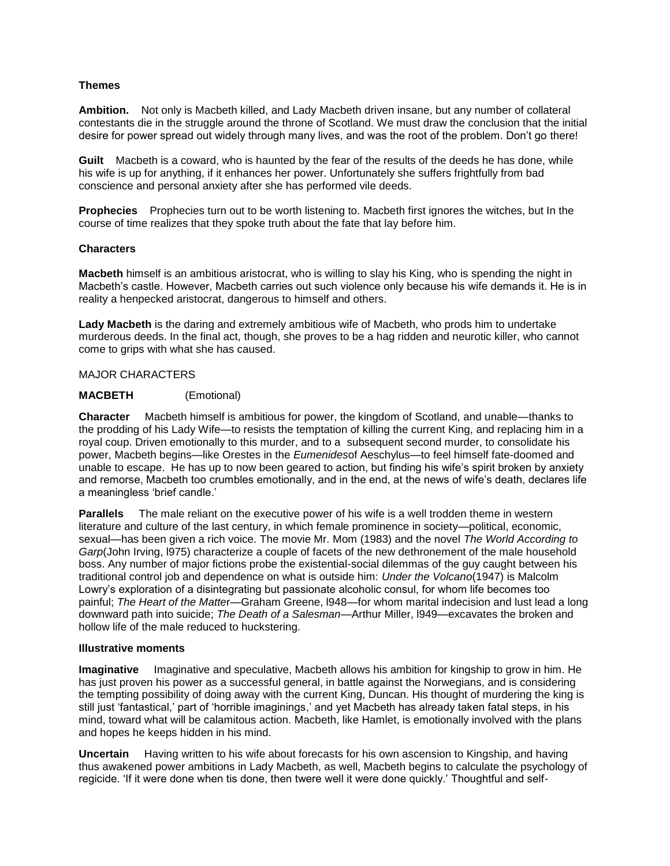# **Themes**

**Ambition.** Not only is Macbeth killed, and Lady Macbeth driven insane, but any number of collateral contestants die in the struggle around the throne of Scotland. We must draw the conclusion that the initial desire for power spread out widely through many lives, and was the root of the problem. Don't go there!

**Guilt** Macbeth is a coward, who is haunted by the fear of the results of the deeds he has done, while his wife is up for anything, if it enhances her power. Unfortunately she suffers frightfully from bad conscience and personal anxiety after she has performed vile deeds.

**Prophecies** Prophecies turn out to be worth listening to. Macbeth first ignores the witches, but In the course of time realizes that they spoke truth about the fate that lay before him.

# **Characters**

**Macbeth** himself is an ambitious aristocrat, who is willing to slay his King, who is spending the night in Macbeth's castle. However, Macbeth carries out such violence only because his wife demands it. He is in reality a henpecked aristocrat, dangerous to himself and others.

**Lady Macbeth** is the daring and extremely ambitious wife of Macbeth, who prods him to undertake murderous deeds. In the final act, though, she proves to be a hag ridden and neurotic killer, who cannot come to grips with what she has caused.

## MAJOR CHARACTERS

## **MACBETH** (Emotional)

**Character** Macbeth himself is ambitious for power, the kingdom of Scotland, and unable—thanks to the prodding of his Lady Wife—to resists the temptation of killing the current King, and replacing him in a royal coup. Driven emotionally to this murder, and to a subsequent second murder, to consolidate his power, Macbeth begins—like Orestes in the *Eumenides*of Aeschylus—to feel himself fate-doomed and unable to escape. He has up to now been geared to action, but finding his wife's spirit broken by anxiety and remorse, Macbeth too crumbles emotionally, and in the end, at the news of wife's death, declares life a meaningless 'brief candle.'

**Parallels** The male reliant on the executive power of his wife is a well trodden theme in western literature and culture of the last century, in which female prominence in society—political, economic, sexual—has been given a rich voice. The movie Mr. Mom (1983) and the novel *The World According to Garp*(John Irving, l975) characterize a couple of facets of the new dethronement of the male household boss. Any number of major fictions probe the existential-social dilemmas of the guy caught between his traditional control job and dependence on what is outside him: *Under the Volcano*(1947) is Malcolm Lowry's exploration of a disintegrating but passionate alcoholic consul, for whom life becomes too painful; *The Heart of the Matte*r—Graham Greene, l948—for whom marital indecision and lust lead a long downward path into suicide; *The Death of a Salesman*—Arthur Miller, l949—excavates the broken and hollow life of the male reduced to huckstering.

#### **Illustrative moments**

**Imaginative** Imaginative and speculative, Macbeth allows his ambition for kingship to grow in him. He has just proven his power as a successful general, in battle against the Norwegians, and is considering the tempting possibility of doing away with the current King, Duncan. His thought of murdering the king is still just 'fantastical,' part of 'horrible imaginings,' and yet Macbeth has already taken fatal steps, in his mind, toward what will be calamitous action. Macbeth, like Hamlet, is emotionally involved with the plans and hopes he keeps hidden in his mind.

**Uncertain** Having written to his wife about forecasts for his own ascension to Kingship, and having thus awakened power ambitions in Lady Macbeth, as well, Macbeth begins to calculate the psychology of regicide. 'If it were done when tis done, then twere well it were done quickly.' Thoughtful and self-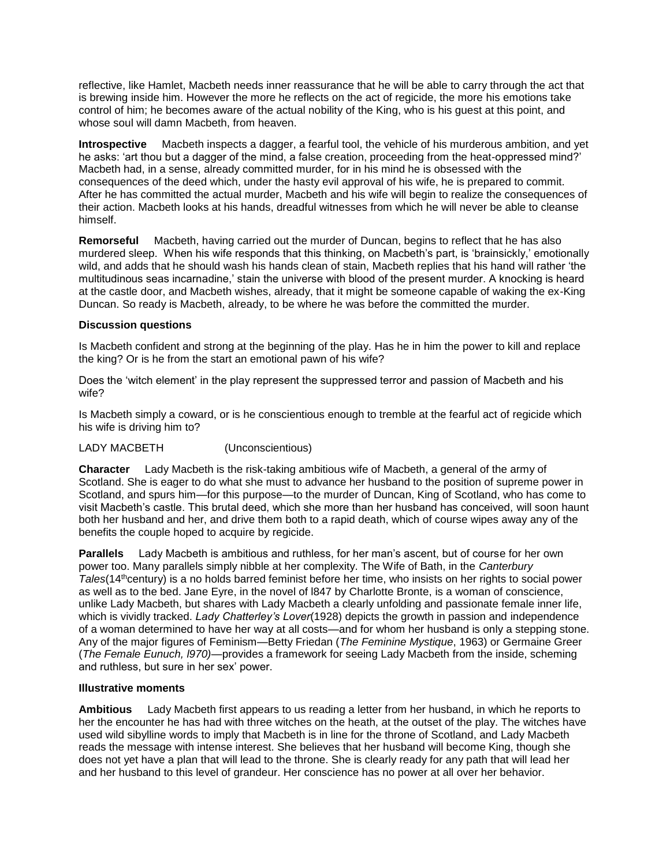reflective, like Hamlet, Macbeth needs inner reassurance that he will be able to carry through the act that is brewing inside him. However the more he reflects on the act of regicide, the more his emotions take control of him; he becomes aware of the actual nobility of the King, who is his guest at this point, and whose soul will damn Macbeth, from heaven.

**Introspective** Macbeth inspects a dagger, a fearful tool, the vehicle of his murderous ambition, and yet he asks: 'art thou but a dagger of the mind, a false creation, proceeding from the heat-oppressed mind?' Macbeth had, in a sense, already committed murder, for in his mind he is obsessed with the consequences of the deed which, under the hasty evil approval of his wife, he is prepared to commit. After he has committed the actual murder, Macbeth and his wife will begin to realize the consequences of their action. Macbeth looks at his hands, dreadful witnesses from which he will never be able to cleanse himself.

**Remorseful** Macbeth, having carried out the murder of Duncan, begins to reflect that he has also murdered sleep. When his wife responds that this thinking, on Macbeth's part, is 'brainsickly,' emotionally wild, and adds that he should wash his hands clean of stain, Macbeth replies that his hand will rather 'the multitudinous seas incarnadine,' stain the universe with blood of the present murder. A knocking is heard at the castle door, and Macbeth wishes, already, that it might be someone capable of waking the ex-King Duncan. So ready is Macbeth, already, to be where he was before the committed the murder.

## **Discussion questions**

Is Macbeth confident and strong at the beginning of the play. Has he in him the power to kill and replace the king? Or is he from the start an emotional pawn of his wife?

Does the 'witch element' in the play represent the suppressed terror and passion of Macbeth and his wife?

Is Macbeth simply a coward, or is he conscientious enough to tremble at the fearful act of regicide which his wife is driving him to?

# LADY MACBETH (Unconscientious)

**Character** Lady Macbeth is the risk-taking ambitious wife of Macbeth, a general of the army of Scotland. She is eager to do what she must to advance her husband to the position of supreme power in Scotland, and spurs him—for this purpose—to the murder of Duncan, King of Scotland, who has come to visit Macbeth's castle. This brutal deed, which she more than her husband has conceived, will soon haunt both her husband and her, and drive them both to a rapid death, which of course wipes away any of the benefits the couple hoped to acquire by regicide.

**Parallels** Lady Macbeth is ambitious and ruthless, for her man's ascent, but of course for her own power too. Many parallels simply nibble at her complexity. The Wife of Bath, in the *Canterbury Tales*(14thcentury) is a no holds barred feminist before her time, who insists on her rights to social power as well as to the bed. Jane Eyre, in the novel of l847 by Charlotte Bronte, is a woman of conscience, unlike Lady Macbeth, but shares with Lady Macbeth a clearly unfolding and passionate female inner life, which is vividly tracked. *Lady Chatterley's Lover*(1928) depicts the growth in passion and independence of a woman determined to have her way at all costs—and for whom her husband is only a stepping stone. Any of the major figures of Feminism—Betty Friedan (*The Feminine Mystique*, 1963) or Germaine Greer (*The Female Eunuch, l970)—*provides a framework for seeing Lady Macbeth from the inside, scheming and ruthless, but sure in her sex' power.

# **Illustrative moments**

**Ambitious** Lady Macbeth first appears to us reading a letter from her husband, in which he reports to her the encounter he has had with three witches on the heath, at the outset of the play. The witches have used wild sibylline words to imply that Macbeth is in line for the throne of Scotland, and Lady Macbeth reads the message with intense interest. She believes that her husband will become King, though she does not yet have a plan that will lead to the throne. She is clearly ready for any path that will lead her and her husband to this level of grandeur. Her conscience has no power at all over her behavior.